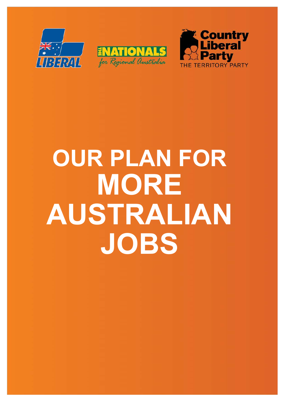





# **OUR PLAN FOR MORE AUSTRALIAN JOBS**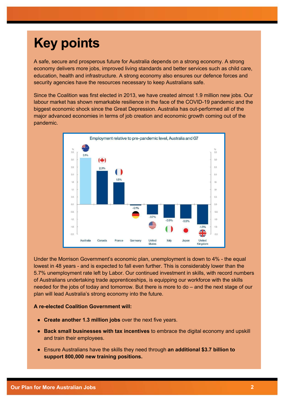# **Key points**

A safe, secure and prosperous future for Australia depends on a strong economy. A strong economy delivers more jobs, improved living standards and better services such as child care, education, health and infrastructure. A strong economy also ensures our defence forces and security agencies have the resources necessary to keep Australians safe.

Since the Coalition was first elected in 2013, we have created almost 1.9 million new jobs. Our labour market has shown remarkable resilience in the face of the COVID-19 pandemic and the biggest economic shock since the Great Depression. Australia has out-performed all of the major advanced economies in terms of job creation and economic growth coming out of the pandemic.



Under the Morrison Government's economic plan, unemployment is down to 4% - the equal lowest in 48 years - and is expected to fall even further. This is considerably lower than the 5.7% unemployment rate left by Labor. Our continued investment in skills, with record numbers of Australians undertaking trade apprenticeships, is equipping our workforce with the skills needed for the jobs of today and tomorrow. But there is more to do – and the next stage of our plan will lead Australia's strong economy into the future.

#### **A re-elected Coalition Government will:**

- **Create another 1.3 million jobs** over the next five years.
- **Back small businesses with tax incentives** to embrace the digital economy and upskill and train their employees.
- Ensure Australians have the skills they need through **an additional \$3.7 billion to support 800,000 new training positions.**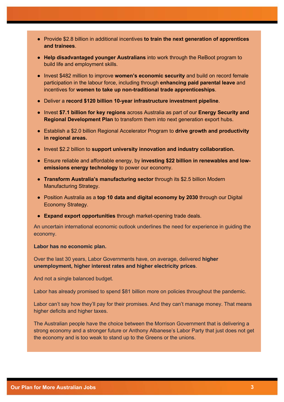- Provide \$2.8 billion in additional incentives **to train the next generation of apprentices and trainees**.
- **Help disadvantaged younger Australians** into work through the ReBoot program to build life and employment skills.
- Invest \$482 million to improve **women's economic security** and build on record female participation in the labour force, including through **enhancing paid parental leave** and incentives for **women to take up non-traditional trade apprenticeships**.
- Deliver a **record \$120 billion 10-year infrastructure investment pipeline**.
- Invest **\$7.1 billion for key regions** across Australia as part of our **Energy Security and Regional Development Plan** to transform them into next generation export hubs.
- Establish a \$2.0 billion Regional Accelerator Program to **drive growth and productivity in regional areas.**
- Invest \$2.2 billion to **support university innovation and industry collaboration.**
- Ensure reliable and affordable energy, by **investing \$22 billion in renewables and lowemissions energy technology** to power our economy.
- **Transform Australia's manufacturing sector** through its \$2.5 billion Modern Manufacturing Strategy.
- Position Australia as a **top 10 data and digital economy by 2030** through our Digital Economy Strategy.
- **Expand export opportunities** through market-opening trade deals.

An uncertain international economic outlook underlines the need for experience in guiding the economy.

#### **Labor has no economic plan.**

Over the last 30 years, Labor Governments have, on average, delivered **higher unemployment, higher interest rates and higher electricity prices**.

And not a single balanced budget.

Labor has already promised to spend \$81 billion more on policies throughout the pandemic.

Labor can't say how they'll pay for their promises. And they can't manage money. That means higher deficits and higher taxes.

The Australian people have the choice between the Morrison Government that is delivering a strong economy and a stronger future or Anthony Albanese's Labor Party that just does not get the economy and is too weak to stand up to the Greens or the unions.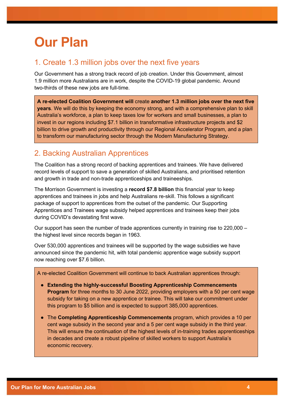# **Our Plan**

### 1. Create 1.3 million jobs over the next five years

Our Government has a strong track record of job creation. Under this Government, almost 1.9 million more Australians are in work, despite the COVID-19 global pandemic. Around two-thirds of these new jobs are full-time.

**A re-elected Coalition Government will** create **another 1.3 million jobs over the next five years**. We will do this by keeping the economy strong, and with a comprehensive plan to skill Australia's workforce, a plan to keep taxes low for workers and small businesses, a plan to invest in our regions including \$7.1 billion in transformative infrastructure projects and \$2 billion to drive growth and productivity through our Regional Accelerator Program, and a plan to transform our manufacturing sector through the Modern Manufacturing Strategy.

## 2. Backing Australian Apprentices

The Coalition has a strong record of backing apprentices and trainees. We have delivered record levels of support to save a generation of skilled Australians, and prioritised retention and growth in trade and non-trade apprenticeships and traineeships.

The Morrison Government is investing a **record \$7.8 billion** this financial year to keep apprentices and trainees in jobs and help Australians re-skill. This follows a significant package of support to apprentices from the outset of the pandemic. Our Supporting Apprentices and Trainees wage subsidy helped apprentices and trainees keep their jobs during COVID's devastating first wave.

Our support has seen the number of trade apprentices currently in training rise to 220,000 – the highest level since records began in 1963.

Over 530,000 apprentices and trainees will be supported by the wage subsidies we have announced since the pandemic hit, with total pandemic apprentice wage subsidy support now reaching over \$7.6 billion.

A re-elected Coalition Government will continue to back Australian apprentices through:

- **Extending the highly-successful Boosting Apprenticeship Commencements Program** for three months to 30 June 2022, providing employers with a 50 per cent wage subsidy for taking on a new apprentice or trainee. This will take our commitment under this program to \$5 billion and is expected to support 385,000 apprentices.
- The **Completing Apprenticeship Commencements** program, which provides a 10 per cent wage subsidy in the second year and a 5 per cent wage subsidy in the third year. This will ensure the continuation of the highest levels of in-training trades apprenticeships in decades and create a robust pipeline of skilled workers to support Australia's economic recovery.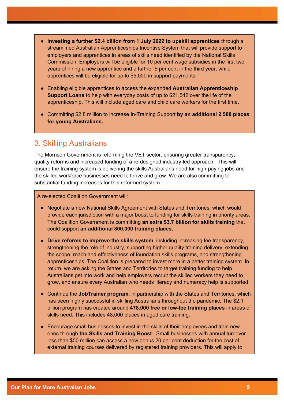- **Investing a further \$2.4 billion from 1 July 2022 to upskill apprentices** through a streamlined Australian Apprenticeships Incentive System that will provide support to employers and apprentices in areas of skills need identified by the National Skills Commission. Employers will be eligible for 10 per cent wage subsidies in the first two years of hiring a new apprentice and a further 5 per cent in the third year, while apprentices will be eligible for up to \$5,000 in support payments.
- Enabling eligible apprentices to access the expanded **Australian Apprenticeship Support Loans** to help with everyday costs of up to \$21,542 over the life of the apprenticeship. This will include aged care and child care workers for the first time.
- Committing \$2.8 million to increase In-Training Support **by an additional 2,500 places for young Australians.**

#### 3. Skilling Australians

The Morrison Government is reforming the VET sector, ensuring greater transparency, quality reforms and increased funding of a re-designed industry-led approach. This will ensure the training system is delivering the skills Australians need for high-paying jobs and the skilled workforce businesses need to thrive and grow. We are also committing to substantial funding increases for this reformed system.

A re-elected Coalition Government will:

- Negotiate a new National Skills Agreement with States and Territories, which would provide each jurisdiction with a major boost to funding for skills training in priority areas. The Coalition Government is committing **an extra \$3.7 billion for skills training** that could support **an additional 800,000 training places.**
- **Drive reforms to improve the skills system**, including increasing fee transparency, strengthening the role of industry, supporting higher quality training delivery, extending the scope, reach and effectiveness of foundation skills programs, and strengthening apprenticeships. The Coalition is prepared to invest more in a better training system. In return, we are asking the States and Territories to target training funding to help Australians get into work and help employers recruit the skilled workers they need to grow, and ensure every Australian who needs literacy and numeracy help is supported.
- Continue the **JobTrainer program**, in partnership with the States and Territories, which has been highly successful in skilling Australians throughout the pandemic**.** The \$2.1 billion program has created around **478,000 free or low-fee training places** in areas of skills need. This includes 48,000 places in aged care training.
- Encourage small businesses to invest in the skills of their employees and train new ones through **the Skills and Training Boost**. Small businesses with annual turnover less than \$50 million can access a new bonus 20 per cent deduction for the cost of external training courses delivered by registered training providers. This will apply to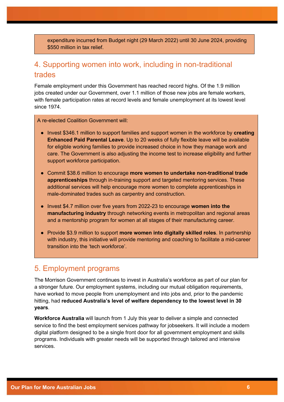expenditure incurred from Budget night (29 March 2022) until 30 June 2024, providing \$550 million in tax relief.

### 4. Supporting women into work, including in non-traditional trades

Female employment under this Government has reached record highs. Of the 1.9 million jobs created under our Government, over 1.1 million of those new jobs are female workers, with female participation rates at record levels and female unemployment at its lowest level since 1974.

A re-elected Coalition Government will:

- Invest \$346.1 million to support families and support women in the workforce by **creating Enhanced Paid Parental Leave**. Up to 20 weeks of fully flexible leave will be available for eligible working families to provide increased choice in how they manage work and care. The Government is also adjusting the income test to increase eligibility and further support workforce participation.
- Commit \$38.6 million to encourage **more women to undertake non-traditional trade apprenticeships** through in-training support and targeted mentoring services. These additional services will help encourage more women to complete apprenticeships in male-dominated trades such as carpentry and construction.
- Invest \$4.7 million over five years from 2022-23 to encourage **women into the manufacturing industry** through networking events in metropolitan and regional areas and a mentorship program for women at all stages of their manufacturing career.
- Provide \$3.9 million to support **more women into digitally skilled roles**. In partnership with industry, this initiative will provide mentoring and coaching to facilitate a mid-career transition into the 'tech workforce'.

#### 5. Employment programs

The Morrison Government continues to invest in Australia's workforce as part of our plan for a stronger future. Our employment systems, including our mutual obligation requirements, have worked to move people from unemployment and into jobs and, prior to the pandemic hitting, had **reduced Australia's level of welfare dependency to the lowest level in 30 years**.

**Workforce Australia** will launch from 1 July this year to deliver a simple and connected service to find the best employment services pathway for jobseekers. It will include a modern digital platform designed to be a single front door for all government employment and skills programs. Individuals with greater needs will be supported through tailored and intensive services.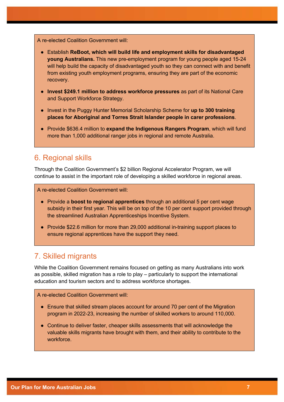A re-elected Coalition Government will:

- Establish **ReBoot, which will build life and employment skills for disadvantaged young Australians.** This new pre-employment program for young people aged 15-24 will help build the capacity of disadvantaged youth so they can connect with and benefit from existing youth employment programs, ensuring they are part of the economic recovery.
- **Invest \$249.1 million to address workforce pressures** as part of its National Care and Support Workforce Strategy.
- Invest in the Puggy Hunter Memorial Scholarship Scheme for **up to 300 training places for Aboriginal and Torres Strait Islander people in carer professions**.
- Provide \$636.4 million to **expand the Indigenous Rangers Program**, which will fund more than 1,000 additional ranger jobs in regional and remote Australia.

### 6. Regional skills

Through the Coalition Government's \$2 billion Regional Accelerator Program, we will continue to assist in the important role of developing a skilled workforce in regional areas.

A re-elected Coalition Government will:

- Provide a **boost to regional apprentices** through an additional 5 per cent wage subsidy in their first year. This will be on top of the 10 per cent support provided through the streamlined Australian Apprenticeships Incentive System.
- Provide \$22.6 million for more than 29,000 additional in-training support places to ensure regional apprentices have the support they need.

### 7. Skilled migrants

While the Coalition Government remains focused on getting as many Australians into work as possible, skilled migration has a role to play – particularly to support the international education and tourism sectors and to address workforce shortages.

#### A re-elected Coalition Government will:

- Ensure that skilled stream places account for around 70 per cent of the Migration program in 2022-23, increasing the number of skilled workers to around 110,000.
- Continue to deliver faster, cheaper skills assessments that will acknowledge the valuable skills migrants have brought with them, and their ability to contribute to the workforce.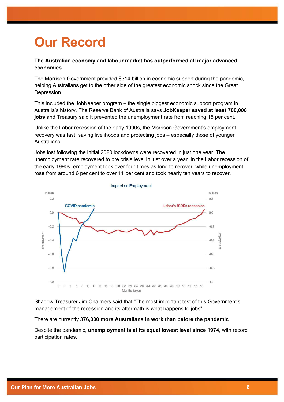# **Our Record**

#### **The Australian economy and labour market has outperformed all major advanced economies.**

The Morrison Government provided \$314 billion in economic support during the pandemic, helping Australians get to the other side of the greatest economic shock since the Great Depression.

This included the JobKeeper program – the single biggest economic support program in Australia's history. The Reserve Bank of Australia says **JobKeeper saved at least 700,000 jobs** and Treasury said it prevented the unemployment rate from reaching 15 per cent.

Unlike the Labor recession of the early 1990s, the Morrison Government's employment recovery was fast, saving livelihoods and protecting jobs – especially those of younger Australians.

Jobs lost following the initial 2020 lockdowns were recovered in just one year. The unemployment rate recovered to pre crisis level in just over a year. In the Labor recession of the early 1990s, employment took over four times as long to recover, while unemployment rose from around 6 per cent to over 11 per cent and took nearly ten years to recover.



Shadow Treasurer Jim Chalmers said that "The most important test of this Government's management of the recession and its aftermath is what happens to jobs".

There are currently **376,000 more Australians in work than before the pandemic**.

Despite the pandemic, **unemployment is at its equal lowest level since 1974**, with record participation rates.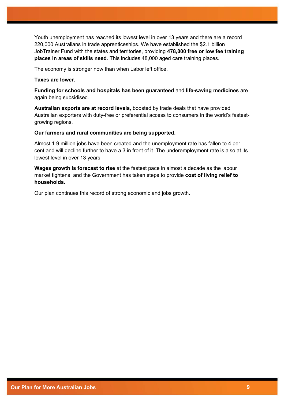Youth unemployment has reached its lowest level in over 13 years and there are a record 220,000 Australians in trade apprenticeships. We have established the \$2.1 billion JobTrainer Fund with the states and territories, providing **478,000 free or low fee training places in areas of skills need**. This includes 48,000 aged care training places.

The economy is stronger now than when Labor left office.

#### **Taxes are lower.**

**Funding for schools and hospitals has been guaranteed** and **life-saving medicines** are again being subsidised.

**Australian exports are at record levels**, boosted by trade deals that have provided Australian exporters with duty-free or preferential access to consumers in the world's fastestgrowing regions.

#### **Our farmers and rural communities are being supported.**

Almost 1.9 million jobs have been created and the unemployment rate has fallen to 4 per cent and will decline further to have a 3 in front of it. The underemployment rate is also at its lowest level in over 13 years.

**Wages growth is forecast to rise** at the fastest pace in almost a decade as the labour market tightens, and the Government has taken steps to provide **cost of living relief to households.**

Our plan continues this record of strong economic and jobs growth.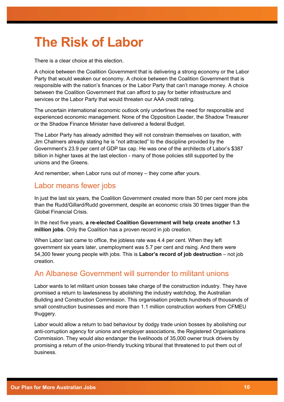# **The Risk of Labor**

There is a clear choice at this election.

A choice between the Coalition Government that is delivering a strong economy or the Labor Party that would weaken our economy. A choice between the Coalition Government that is responsible with the nation's finances or the Labor Party that can't manage money. A choice between the Coalition Government that can afford to pay for better infrastructure and services or the Labor Party that would threaten our AAA credit rating.

The uncertain international economic outlook only underlines the need for responsible and experienced economic management. None of the Opposition Leader, the Shadow Treasurer or the Shadow Finance Minister have delivered a federal Budget.

The Labor Party has already admitted they will not constrain themselves on taxation, with Jim Chalmers already stating he is "not attracted" to the discipline provided by the Government's 23.9 per cent of GDP tax cap. He was one of the architects of Labor's \$387 billion in higher taxes at the last election - many of those policies still supported by the unions and the Greens.

And remember, when Labor runs out of money – they come after yours.

### Labor means fewer jobs

In just the last six years, the Coalition Government created more than 50 per cent more jobs than the Rudd/Gillard/Rudd government, despite an economic crisis 30 times bigger than the Global Financial Crisis.

In the next five years, **a re-elected Coalition Government will help create another 1.3 million jobs**. Only the Coalition has a proven record in job creation.

When Labor last came to office, the jobless rate was 4.4 per cent. When they left government six years later, unemployment was 5.7 per cent and rising. And there were 54,300 fewer young people with jobs. This is **Labor's record of job destruction** – not job creation.

### An Albanese Government will surrender to militant unions

Labor wants to let militant union bosses take charge of the construction industry. They have promised a return to lawlessness by abolishing the industry watchdog, the Australian Building and Construction Commission. This organisation protects hundreds of thousands of small construction businesses and more than 1.1 million construction workers from CFMEU thuggery.

Labor would allow a return to bad behaviour by dodgy trade union bosses by abolishing our anti-corruption agency for unions and employer associations, the Registered Organisations Commission. They would also endanger the livelihoods of 35,000 owner truck drivers by promising a return of the union-friendly trucking tribunal that threatened to put them out of business.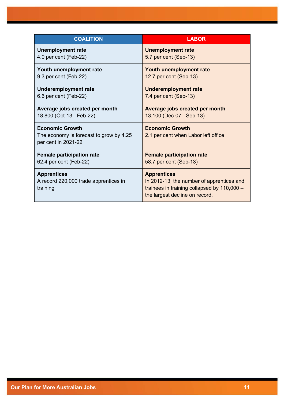| <b>COALITION</b>                                                                         | <b>LABOR</b>                                                                                                                                     |
|------------------------------------------------------------------------------------------|--------------------------------------------------------------------------------------------------------------------------------------------------|
| <b>Unemployment rate</b>                                                                 | <b>Unemployment rate</b>                                                                                                                         |
| 4.0 per cent (Feb-22)                                                                    | 5.7 per cent (Sep-13)                                                                                                                            |
| Youth unemployment rate                                                                  | Youth unemployment rate                                                                                                                          |
| 9.3 per cent (Feb-22)                                                                    | 12.7 per cent (Sep-13)                                                                                                                           |
| <b>Underemployment rate</b>                                                              | <b>Underemployment rate</b>                                                                                                                      |
| 6.6 per cent (Feb-22)                                                                    | 7.4 per cent (Sep-13)                                                                                                                            |
| Average jobs created per month                                                           | Average jobs created per month                                                                                                                   |
| 18,800 (Oct-13 - Feb-22)                                                                 | 13,100 (Dec-07 - Sep-13)                                                                                                                         |
| <b>Economic Growth</b><br>The economy is forecast to grow by 4.25<br>per cent in 2021-22 | <b>Economic Growth</b><br>2.1 per cent when Labor left office                                                                                    |
| <b>Female participation rate</b>                                                         | <b>Female participation rate</b>                                                                                                                 |
| 62.4 per cent (Feb-22)                                                                   | 58.7 per cent (Sep-13)                                                                                                                           |
| <b>Apprentices</b><br>A record 220,000 trade apprentices in<br>training                  | <b>Apprentices</b><br>In 2012-13, the number of apprentices and<br>trainees in training collapsed by 110,000 -<br>the largest decline on record. |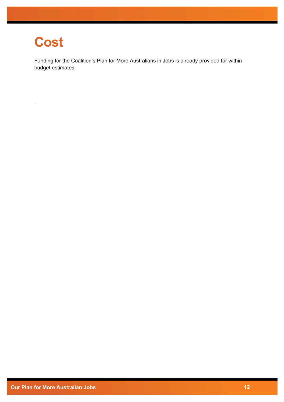# **Cost**

.

Funding for the Coalition's Plan for More Australians in Jobs is already provided for within budget estimates.